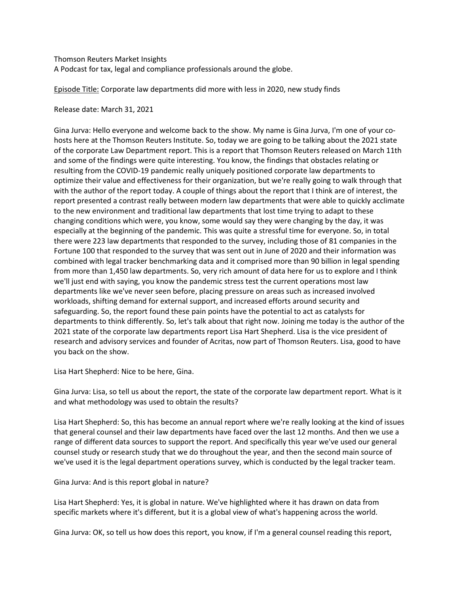Thomson Reuters Market Insights A Podcast for tax, legal and compliance professionals around the globe.

Episode Title: Corporate law departments did more with less in 2020, new study finds

Release date: March 31, 2021

Gina Jurva: Hello everyone and welcome back to the show. My name is Gina Jurva, I'm one of your cohosts here at the Thomson Reuters Institute. So, today we are going to be talking about the 2021 state of the corporate Law Department report. This is a report that Thomson Reuters released on March 11th and some of the findings were quite interesting. You know, the findings that obstacles relating or resulting from the COVID-19 pandemic really uniquely positioned corporate law departments to optimize their value and effectiveness for their organization, but we're really going to walk through that with the author of the report today. A couple of things about the report that I think are of interest, the report presented a contrast really between modern law departments that were able to quickly acclimate to the new environment and traditional law departments that lost time trying to adapt to these changing conditions which were, you know, some would say they were changing by the day, it was especially at the beginning of the pandemic. This was quite a stressful time for everyone. So, in total there were 223 law departments that responded to the survey, including those of 81 companies in the Fortune 100 that responded to the survey that was sent out in June of 2020 and their information was combined with legal tracker benchmarking data and it comprised more than 90 billion in legal spending from more than 1,450 law departments. So, very rich amount of data here for us to explore and I think we'll just end with saying, you know the pandemic stress test the current operations most law departments like we've never seen before, placing pressure on areas such as increased involved workloads, shifting demand for external support, and increased efforts around security and safeguarding. So, the report found these pain points have the potential to act as catalysts for departments to think differently. So, let's talk about that right now. Joining me today is the author of the 2021 state of the corporate law departments report Lisa Hart Shepherd. Lisa is the vice president of research and advisory services and founder of Acritas, now part of Thomson Reuters. Lisa, good to have you back on the show.

Lisa Hart Shepherd: Nice to be here, Gina.

Gina Jurva: Lisa, so tell us about the report, the state of the corporate law department report. What is it and what methodology was used to obtain the results?

Lisa Hart Shepherd: So, this has become an annual report where we're really looking at the kind of issues that general counsel and their law departments have faced over the last 12 months. And then we use a range of different data sources to support the report. And specifically this year we've used our general counsel study or research study that we do throughout the year, and then the second main source of we've used it is the legal department operations survey, which is conducted by the legal tracker team.

Gina Jurva: And is this report global in nature?

Lisa Hart Shepherd: Yes, it is global in nature. We've highlighted where it has drawn on data from specific markets where it's different, but it is a global view of what's happening across the world.

Gina Jurva: OK, so tell us how does this report, you know, if I'm a general counsel reading this report,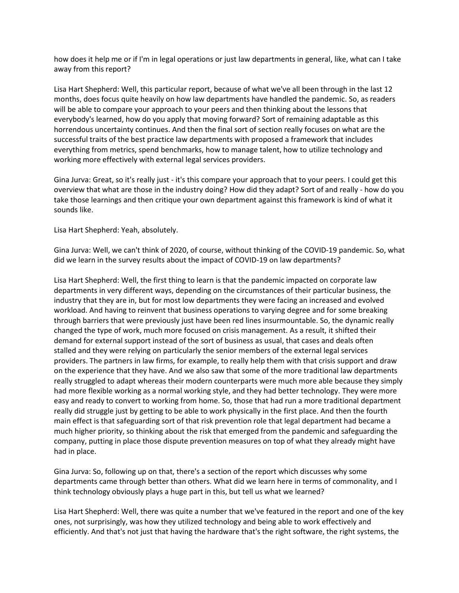how does it help me or if I'm in legal operations or just law departments in general, like, what can I take away from this report?

Lisa Hart Shepherd: Well, this particular report, because of what we've all been through in the last 12 months, does focus quite heavily on how law departments have handled the pandemic. So, as readers will be able to compare your approach to your peers and then thinking about the lessons that everybody's learned, how do you apply that moving forward? Sort of remaining adaptable as this horrendous uncertainty continues. And then the final sort of section really focuses on what are the successful traits of the best practice law departments with proposed a framework that includes everything from metrics, spend benchmarks, how to manage talent, how to utilize technology and working more effectively with external legal services providers.

Gina Jurva: Great, so it's really just - it's this compare your approach that to your peers. I could get this overview that what are those in the industry doing? How did they adapt? Sort of and really - how do you take those learnings and then critique your own department against this framework is kind of what it sounds like.

Lisa Hart Shepherd: Yeah, absolutely.

Gina Jurva: Well, we can't think of 2020, of course, without thinking of the COVID-19 pandemic. So, what did we learn in the survey results about the impact of COVID-19 on law departments?

Lisa Hart Shepherd: Well, the first thing to learn is that the pandemic impacted on corporate law departments in very different ways, depending on the circumstances of their particular business, the industry that they are in, but for most low departments they were facing an increased and evolved workload. And having to reinvent that business operations to varying degree and for some breaking through barriers that were previously just have been red lines insurmountable. So, the dynamic really changed the type of work, much more focused on crisis management. As a result, it shifted their demand for external support instead of the sort of business as usual, that cases and deals often stalled and they were relying on particularly the senior members of the external legal services providers. The partners in law firms, for example, to really help them with that crisis support and draw on the experience that they have. And we also saw that some of the more traditional law departments really struggled to adapt whereas their modern counterparts were much more able because they simply had more flexible working as a normal working style, and they had better technology. They were more easy and ready to convert to working from home. So, those that had run a more traditional department really did struggle just by getting to be able to work physically in the first place. And then the fourth main effect is that safeguarding sort of that risk prevention role that legal department had became a much higher priority, so thinking about the risk that emerged from the pandemic and safeguarding the company, putting in place those dispute prevention measures on top of what they already might have had in place.

Gina Jurva: So, following up on that, there's a section of the report which discusses why some departments came through better than others. What did we learn here in terms of commonality, and I think technology obviously plays a huge part in this, but tell us what we learned?

Lisa Hart Shepherd: Well, there was quite a number that we've featured in the report and one of the key ones, not surprisingly, was how they utilized technology and being able to work effectively and efficiently. And that's not just that having the hardware that's the right software, the right systems, the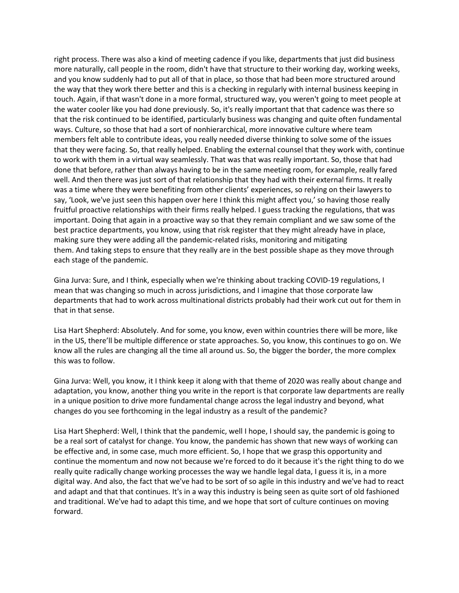right process. There was also a kind of meeting cadence if you like, departments that just did business more naturally, call people in the room, didn't have that structure to their working day, working weeks, and you know suddenly had to put all of that in place, so those that had been more structured around the way that they work there better and this is a checking in regularly with internal business keeping in touch. Again, if that wasn't done in a more formal, structured way, you weren't going to meet people at the water cooler like you had done previously. So, it's really important that that cadence was there so that the risk continued to be identified, particularly business was changing and quite often fundamental ways. Culture, so those that had a sort of nonhierarchical, more innovative culture where team members felt able to contribute ideas, you really needed diverse thinking to solve some of the issues that they were facing. So, that really helped. Enabling the external counsel that they work with, continue to work with them in a virtual way seamlessly. That was that was really important. So, those that had done that before, rather than always having to be in the same meeting room, for example, really fared well. And then there was just sort of that relationship that they had with their external firms. It really was a time where they were benefiting from other clients' experiences, so relying on their lawyers to say, 'Look, we've just seen this happen over here I think this might affect you,' so having those really fruitful proactive relationships with their firms really helped. I guess tracking the regulations, that was important. Doing that again in a proactive way so that they remain compliant and we saw some of the best practice departments, you know, using that risk register that they might already have in place, making sure they were adding all the pandemic-related risks, monitoring and mitigating them. And taking steps to ensure that they really are in the best possible shape as they move through each stage of the pandemic.

Gina Jurva: Sure, and I think, especially when we're thinking about tracking COVID-19 regulations, I mean that was changing so much in across jurisdictions, and I imagine that those corporate law departments that had to work across multinational districts probably had their work cut out for them in that in that sense.

Lisa Hart Shepherd: Absolutely. And for some, you know, even within countries there will be more, like in the US, there'll be multiple difference or state approaches. So, you know, this continues to go on. We know all the rules are changing all the time all around us. So, the bigger the border, the more complex this was to follow.

Gina Jurva: Well, you know, it I think keep it along with that theme of 2020 was really about change and adaptation, you know, another thing you write in the report is that corporate law departments are really in a unique position to drive more fundamental change across the legal industry and beyond, what changes do you see forthcoming in the legal industry as a result of the pandemic?

Lisa Hart Shepherd: Well, I think that the pandemic, well I hope, I should say, the pandemic is going to be a real sort of catalyst for change. You know, the pandemic has shown that new ways of working can be effective and, in some case, much more efficient. So, I hope that we grasp this opportunity and continue the momentum and now not because we're forced to do it because it's the right thing to do we really quite radically change working processes the way we handle legal data, I guess it is, in a more digital way. And also, the fact that we've had to be sort of so agile in this industry and we've had to react and adapt and that that continues. It's in a way this industry is being seen as quite sort of old fashioned and traditional. We've had to adapt this time, and we hope that sort of culture continues on moving forward.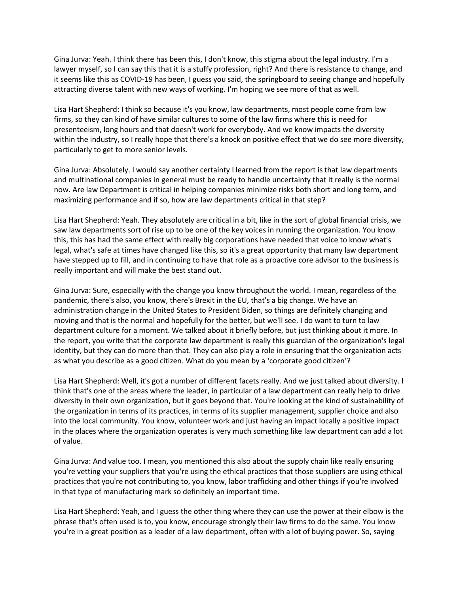Gina Jurva: Yeah. I think there has been this, I don't know, this stigma about the legal industry. I'm a lawyer myself, so I can say this that it is a stuffy profession, right? And there is resistance to change, and it seems like this as COVID-19 has been, I guess you said, the springboard to seeing change and hopefully attracting diverse talent with new ways of working. I'm hoping we see more of that as well.

Lisa Hart Shepherd: I think so because it's you know, law departments, most people come from law firms, so they can kind of have similar cultures to some of the law firms where this is need for presenteeism, long hours and that doesn't work for everybody. And we know impacts the diversity within the industry, so I really hope that there's a knock on positive effect that we do see more diversity, particularly to get to more senior levels.

Gina Jurva: Absolutely. I would say another certainty I learned from the report is that law departments and multinational companies in general must be ready to handle uncertainty that it really is the normal now. Are law Department is critical in helping companies minimize risks both short and long term, and maximizing performance and if so, how are law departments critical in that step?

Lisa Hart Shepherd: Yeah. They absolutely are critical in a bit, like in the sort of global financial crisis, we saw law departments sort of rise up to be one of the key voices in running the organization. You know this, this has had the same effect with really big corporations have needed that voice to know what's legal, what's safe at times have changed like this, so it's a great opportunity that many law department have stepped up to fill, and in continuing to have that role as a proactive core advisor to the business is really important and will make the best stand out.

Gina Jurva: Sure, especially with the change you know throughout the world. I mean, regardless of the pandemic, there's also, you know, there's Brexit in the EU, that's a big change. We have an administration change in the United States to President Biden, so things are definitely changing and moving and that is the normal and hopefully for the better, but we'll see. I do want to turn to law department culture for a moment. We talked about it briefly before, but just thinking about it more. In the report, you write that the corporate law department is really this guardian of the organization's legal identity, but they can do more than that. They can also play a role in ensuring that the organization acts as what you describe as a good citizen. What do you mean by a 'corporate good citizen'?

Lisa Hart Shepherd: Well, it's got a number of different facets really. And we just talked about diversity. I think that's one of the areas where the leader, in particular of a law department can really help to drive diversity in their own organization, but it goes beyond that. You're looking at the kind of sustainability of the organization in terms of its practices, in terms of its supplier management, supplier choice and also into the local community. You know, volunteer work and just having an impact locally a positive impact in the places where the organization operates is very much something like law department can add a lot of value.

Gina Jurva: And value too. I mean, you mentioned this also about the supply chain like really ensuring you're vetting your suppliers that you're using the ethical practices that those suppliers are using ethical practices that you're not contributing to, you know, labor trafficking and other things if you're involved in that type of manufacturing mark so definitely an important time.

Lisa Hart Shepherd: Yeah, and I guess the other thing where they can use the power at their elbow is the phrase that's often used is to, you know, encourage strongly their law firms to do the same. You know you're in a great position as a leader of a law department, often with a lot of buying power. So, saying